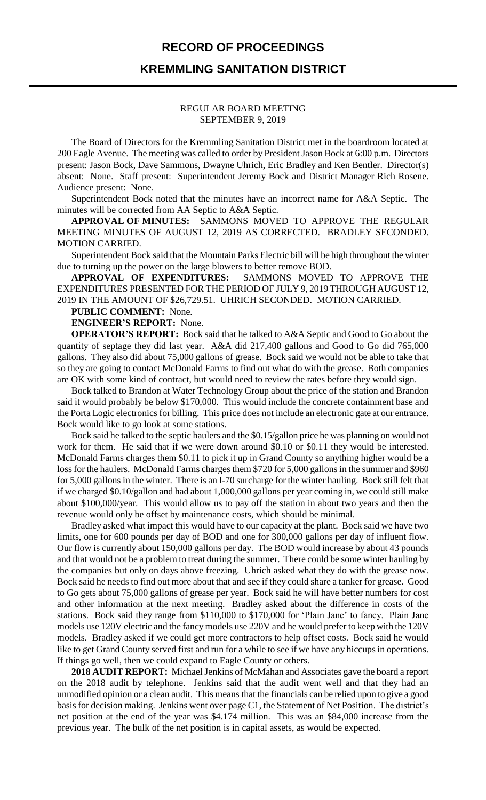## **RECORD OF PROCEEDINGS**

## **KREMMLING SANITATION DISTRICT**

#### REGULAR BOARD MEETING SEPTEMBER 9, 2019

The Board of Directors for the Kremmling Sanitation District met in the boardroom located at 200 Eagle Avenue. The meeting was called to order by President Jason Bock at 6:00 p.m. Directors present: Jason Bock, Dave Sammons, Dwayne Uhrich, Eric Bradley and Ken Bentler. Director(s) absent: None. Staff present: Superintendent Jeremy Bock and District Manager Rich Rosene. Audience present: None.

Superintendent Bock noted that the minutes have an incorrect name for A&A Septic. The minutes will be corrected from AA Septic to A&A Septic.

**APPROVAL OF MINUTES:** SAMMONS MOVED TO APPROVE THE REGULAR MEETING MINUTES OF AUGUST 12, 2019 AS CORRECTED. BRADLEY SECONDED. MOTION CARRIED.

Superintendent Bock said that the Mountain Parks Electric bill will be high throughout the winter due to turning up the power on the large blowers to better remove BOD.

**APPROVAL OF EXPENDITURES:** SAMMONS MOVED TO APPROVE THE EXPENDITURES PRESENTED FOR THE PERIOD OF JULY 9, 2019 THROUGH AUGUST 12, 2019 IN THE AMOUNT OF \$26,729.51. UHRICH SECONDED. MOTION CARRIED.

### **PUBLIC COMMENT:** None.

**ENGINEER'S REPORT:** None.

**OPERATOR'S REPORT:** Bock said that he talked to A&A Septic and Good to Go about the quantity of septage they did last year. A&A did 217,400 gallons and Good to Go did 765,000 gallons. They also did about 75,000 gallons of grease. Bock said we would not be able to take that so they are going to contact McDonald Farms to find out what do with the grease. Both companies are OK with some kind of contract, but would need to review the rates before they would sign.

Bock talked to Brandon at Water Technology Group about the price of the station and Brandon said it would probably be below \$170,000. This would include the concrete containment base and the Porta Logic electronics for billing. This price does not include an electronic gate at our entrance. Bock would like to go look at some stations.

Bock said he talked to the septic haulers and the \$0.15/gallon price he was planning on would not work for them. He said that if we were down around \$0.10 or \$0.11 they would be interested. McDonald Farms charges them \$0.11 to pick it up in Grand County so anything higher would be a loss for the haulers. McDonald Farms charges them \$720 for 5,000 gallons in the summer and \$960 for 5,000 gallons in the winter. There is an I-70 surcharge for the winter hauling. Bock still felt that if we charged \$0.10/gallon and had about 1,000,000 gallons per year coming in, we could still make about \$100,000/year. This would allow us to pay off the station in about two years and then the revenue would only be offset by maintenance costs, which should be minimal.

Bradley asked what impact this would have to our capacity at the plant. Bock said we have two limits, one for 600 pounds per day of BOD and one for 300,000 gallons per day of influent flow. Our flow is currently about 150,000 gallons per day. The BOD would increase by about 43 pounds and that would not be a problem to treat during the summer. There could be some winter hauling by the companies but only on days above freezing. Uhrich asked what they do with the grease now. Bock said he needs to find out more about that and see if they could share a tanker for grease. Good to Go gets about 75,000 gallons of grease per year. Bock said he will have better numbers for cost and other information at the next meeting. Bradley asked about the difference in costs of the stations. Bock said they range from \$110,000 to \$170,000 for 'Plain Jane' to fancy. Plain Jane models use 120V electric and the fancy models use 220V and he would prefer to keep with the 120V models. Bradley asked if we could get more contractors to help offset costs. Bock said he would like to get Grand County served first and run for a while to see if we have any hiccups in operations. If things go well, then we could expand to Eagle County or others.

**2018 AUDIT REPORT:** Michael Jenkins of McMahan and Associates gave the board a report on the 2018 audit by telephone. Jenkins said that the audit went well and that they had an unmodified opinion or a clean audit. This means that the financials can be relied upon to give a good basis for decision making. Jenkins went over page C1, the Statement of Net Position. The district's net position at the end of the year was \$4.174 million. This was an \$84,000 increase from the previous year. The bulk of the net position is in capital assets, as would be expected.